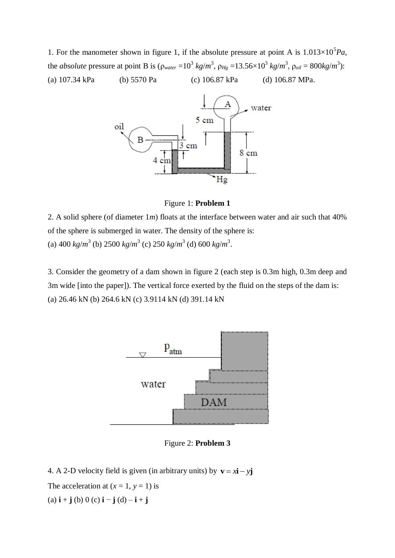1. For the manometer shown in figure 1, if the absolute pressure at point A is  $1.013 \times 10^5 Pa$ , the *absolute* pressure at point B is  $(\rho_{water} = 10^3 \text{ kg/m}^3, \rho_{Hg} = 13.56 \times 10^3 \text{ kg/m}^3, \rho_{oil} = 800 \text{kg/m}^3$ : (a) 107.34 kPa (b) 5570 Pa (c) 106.87 kPa (d) 106.87 MPa.



Figure 1: **Problem 1**

2. A solid sphere (of diameter 1*m*) floats at the interface between water and air such that 40% of the sphere is submerged in water. The density of the sphere is: (a)  $400 \text{ kg/m}^3$  (b)  $2500 \text{ kg/m}^3$  (c)  $250 \text{ kg/m}^3$  (d)  $600 \text{ kg/m}^3$ .

3. Consider the geometry of a dam shown in figure 2 (each step is 0.3m high, 0.3m deep and 3m wide [into the paper]). The vertical force exerted by the fluid on the steps of the dam is: (a) 26.46 kN (b) 264.6 kN (c) 3.9114 kN (d) 391.14 kN



Figure 2: **Problem 3**

4. A 2-D velocity field is given (in arbitrary units) by  $\mathbf{v} = x\mathbf{i} - y\mathbf{j}$ 

The acceleration at  $(x = 1, y = 1)$  is

(a) **i** + **j** (b) 0 (c) **i** − **j** (d) – **i** + **j**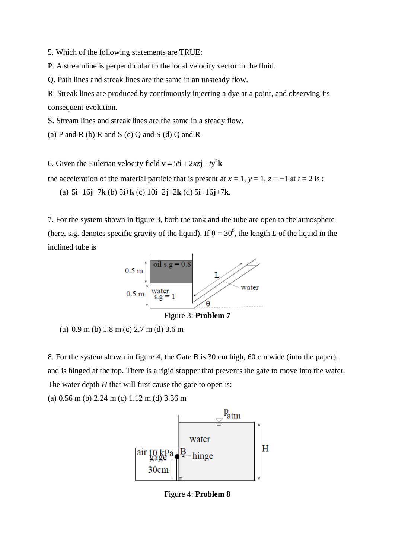5. Which of the following statements are TRUE:

P. A streamline is perpendicular to the local velocity vector in the fluid.

Q. Path lines and streak lines are the same in an unsteady flow.

R. Streak lines are produced by continuously injecting a dye at a point, and observing its consequent evolution.

S. Stream lines and streak lines are the same in a steady flow.

(a) P and R (b) R and S (c) O and S (d) O and R

6. Given the Eulerian velocity field  $\mathbf{v} = 5t\mathbf{i} + 2xz\mathbf{j} + ty^2\mathbf{k}$ 

the acceleration of the material particle that is present at  $x = 1$ ,  $y = 1$ ,  $z = -1$  at  $t = 2$  is :

(a) 5**i**−16**j**−7**k** (b) 5**i**+**k** (c) 10**i**−2**j**+2**k** (d) 5**i**+16**j**+7**k**.

7. For the system shown in figure 3, both the tank and the tube are open to the atmosphere (here, s.g. denotes specific gravity of the liquid). If  $\theta = 30^{\circ}$ , the length *L* of the liquid in the inclined tube is





8. For the system shown in figure 4, the Gate B is 30 cm high, 60 cm wide (into the paper), and is hinged at the top. There is a rigid stopper that prevents the gate to move into the water. The water depth *H* that will first cause the gate to open is:

(a) 0.56 m (b) 2.24 m (c) 1.12 m (d) 3.36 m



Figure 4: **Problem 8**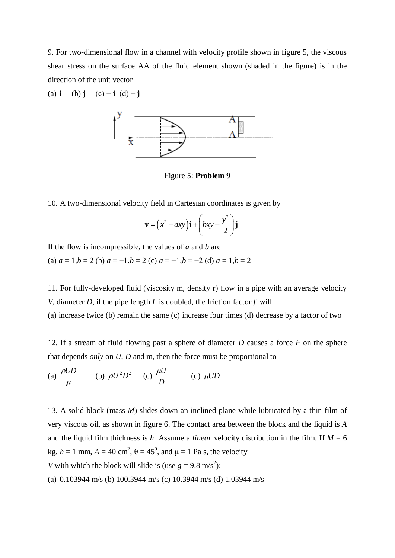9. For two-dimensional flow in a channel with velocity profile shown in figure 5, the viscous shear stress on the surface AA of the fluid element shown (shaded in the figure) is in the direction of the unit vector

(a) 
$$
\mathbf{i}
$$
 (b)  $\mathbf{j}$  (c)  $-\mathbf{i}$  (d)  $-\mathbf{j}$ 



Figure 5: **Problem 9**

10. A two-dimensional velocity field in Cartesian coordinates is given by

$$
\mathbf{v} = (x^2 - axy)\mathbf{i} + (bxy - \frac{y^2}{2})\mathbf{j}
$$

If the flow is incompressible, the values of *a* and *b* are

(a)  $a = 1, b = 2$  (b)  $a = -1, b = 2$  (c)  $a = -1, b = -2$  (d)  $a = 1, b = 2$ 

11. For fully-developed fluid (viscosity m, density r) flow in a pipe with an average velocity *V*, diameter *D*, if the pipe length *L* is doubled, the friction factor *f* will

(a) increase twice (b) remain the same (c) increase four times (d) decrease by a factor of two

12. If a stream of fluid flowing past a sphere of diameter *D* causes a force *F* on the sphere that depends *only* on *U*, *D* and m, then the force must be proportional to

(a) 
$$
\frac{\rho UD}{\mu}
$$
 (b)  $\rho U^2 D^2$  (c)  $\frac{\mu U}{D}$  (d)  $\mu UD$ 

13. A solid block (mass *M*) slides down an inclined plane while lubricated by a thin film of very viscous oil, as shown in figure 6. The contact area between the block and the liquid is *A*  and the liquid film thickness is *h*. Assume a *linear* velocity distribution in the film. If  $M = 6$ kg,  $h = 1$  mm,  $A = 40$  cm<sup>2</sup>,  $\theta = 45^\circ$ , and  $\mu = 1$  Pa s, the velocity *V* with which the block will slide is (use  $g = 9.8 \text{ m/s}^2$ ):

(a) 0.103944 m/s (b) 100.3944 m/s (c) 10.3944 m/s (d) 1.03944 m/s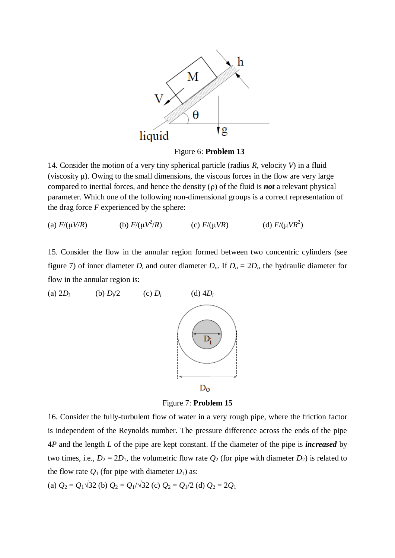

Figure 6: **Problem 13**

14. Consider the motion of a very tiny spherical particle (radius *R*, velocity *V*) in a fluid (viscosity  $\mu$ ). Owing to the small dimensions, the viscous forces in the flow are very large compared to inertial forces, and hence the density (ρ) of the fluid is *not* a relevant physical parameter. Which one of the following non-dimensional groups is a correct representation of the drag force *F* experienced by the sphere:

(a)  $F/(\mu V/R)$ <sup>2</sup>/*R*) (c) *F*/(μ*VR*) (d) *F*/(μ*VR*<sup>2</sup> (d)  $F/(\mu VR^2)$ 

15. Consider the flow in the annular region formed between two concentric cylinders (see figure 7) of inner diameter  $D_i$  and outer diameter  $D_o$ . If  $D_o = 2D_i$ , the hydraulic diameter for flow in the annular region is:



Figure 7: **Problem 15**

16. Consider the fully-turbulent flow of water in a very rough pipe, where the friction factor is independent of the Reynolds number. The pressure difference across the ends of the pipe 4*P* and the length *L* of the pipe are kept constant. If the diameter of the pipe is *increased* by two times, i.e.,  $D_2 = 2D_1$ , the volumetric flow rate  $Q_2$  (for pipe with diameter  $D_2$ ) is related to the flow rate  $Q_1$  (for pipe with diameter  $D_1$ ) as:

(a)  $Q_2 = Q_1 \sqrt{32}$  (b)  $Q_2 = Q_1/\sqrt{32}$  (c)  $Q_2 = Q_1/2$  (d)  $Q_2 = 2Q_1$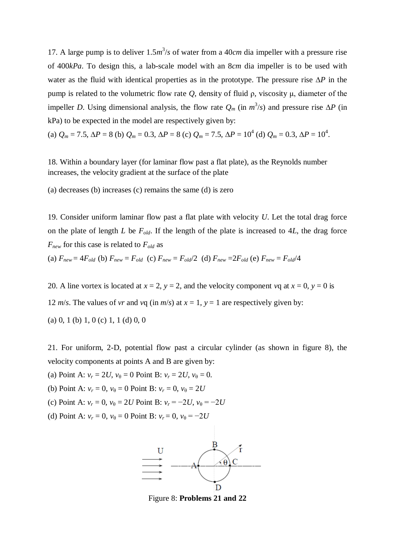17. A large pump is to deliver  $1.5m<sup>3</sup>/s$  of water from a 40*cm* dia impeller with a pressure rise of 400*kPa*. To design this, a lab-scale model with an 8*cm* dia impeller is to be used with water as the fluid with identical properties as in the prototype. The pressure rise ∆*P* in the pump is related to the volumetric flow rate *Q*, density of fluid ρ, viscosity μ, diameter of the impeller *D*. Using dimensional analysis, the flow rate  $Q_m$  (in  $m^3/s$ ) and pressure rise  $\Delta P$  (in kPa) to be expected in the model are respectively given by:

(a) 
$$
Q_m = 7.5
$$
,  $\Delta P = 8$  (b)  $Q_m = 0.3$ ,  $\Delta P = 8$  (c)  $Q_m = 7.5$ ,  $\Delta P = 10^4$  (d)  $Q_m = 0.3$ ,  $\Delta P = 10^4$ .

18. Within a boundary layer (for laminar flow past a flat plate), as the Reynolds number increases, the velocity gradient at the surface of the plate

(a) decreases (b) increases (c) remains the same (d) is zero

19. Consider uniform laminar flow past a flat plate with velocity *U*. Let the total drag force on the plate of length *L* be  $F_{old}$ . If the length of the plate is increased to 4*L*, the drag force *Fnew* for this case is related to *Fold* as (a)  $F_{new} = 4F_{old}$  (b)  $F_{new} = F_{old}$  (c)  $F_{new} = F_{old}/2$  (d)  $F_{new} = 2F_{old}$  (e)  $F_{new} = F_{old}/4$ 

20. A line vortex is located at  $x = 2$ ,  $y = 2$ , and the velocity component *v*q at  $x = 0$ ,  $y = 0$  is 12 *m/s*. The values of *vr* and *v*q (in *m/s*) at  $x = 1$ ,  $y = 1$  are respectively given by:

(a) 0, 1 (b) 1, 0 (c) 1, 1 (d) 0, 0

21. For uniform, 2-D, potential flow past a circular cylinder (as shown in figure 8), the velocity components at points A and B are given by:

(a) Point A:  $v_r = 2U$ ,  $v_{\theta} = 0$  Point B:  $v_r = 2U$ ,  $v_{\theta} = 0$ .

(b) Point A:  $v_r = 0$ ,  $v_{\theta} = 0$  Point B:  $v_r = 0$ ,  $v_{\theta} = 2U$ 

- (c) Point A:  $v_r = 0$ ,  $v_{\theta} = 2U$  Point B:  $v_r = -2U$ ,  $v_{\theta} = -2U$
- (d) Point A:  $v_r = 0$ ,  $v_{\theta} = 0$  Point B:  $v_r = 0$ ,  $v_{\theta} = -2U$



Figure 8: **Problems 21 and 22**